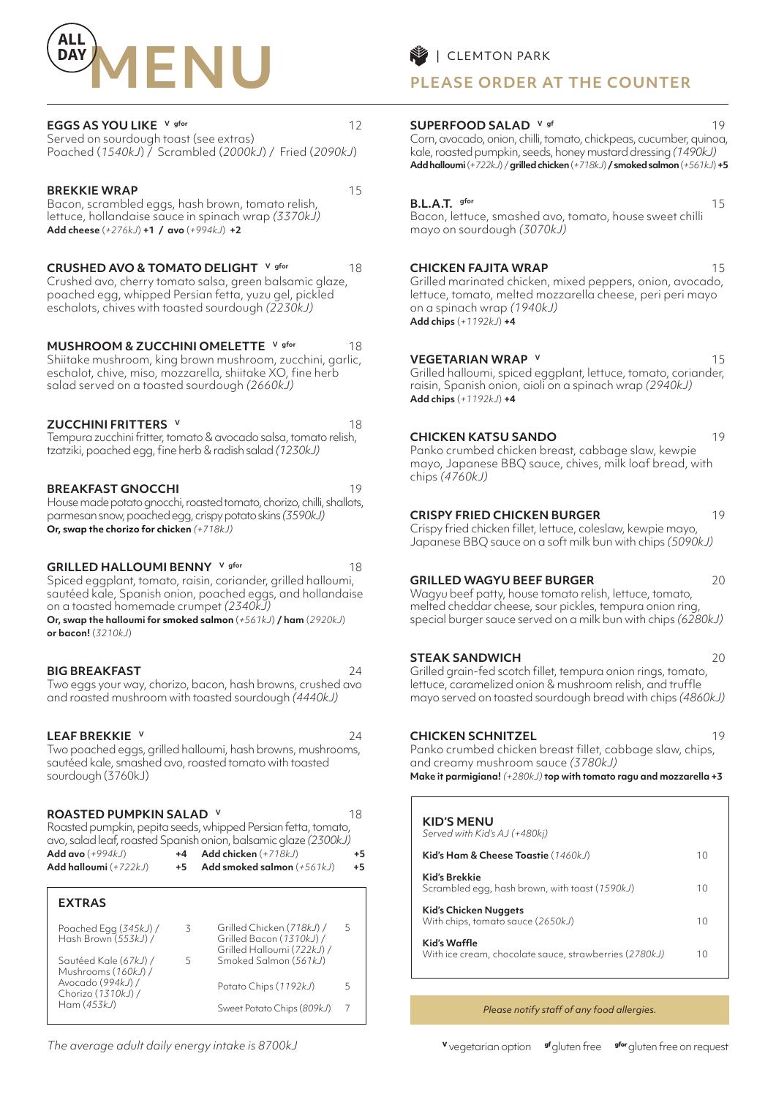

## **EGGS AS YOU LIKE** V gfor **12**

Served on sourdough toast (see extras) Poached (*1540kJ*) / Scrambled (*2000kJ*) / Fried (*2090kJ*)

#### **BREKKIE WRAP** 15

Bacon, scrambled eggs, hash brown, tomato relish, lettuce, hollandaise sauce in spinach wrap *(3370kJ)* **Add cheese** (*+276kJ*) **+1 / avo** (*+994kJ*) **+2**

**CRUSHED AVO & TOMATO DELIGHT** V gfor 18

Crushed avo, cherry tomato salsa, green balsamic glaze, poached egg, whipped Persian fetta, yuzu gel, pickled eschalots, chives with toasted sourdough *(2230kJ)*

**MUSHROOM & ZUCCHINI OMELETTE** V gfor 18 Shiitake mushroom, king brown mushroom, zucchini, garlic, eschalot, chive, miso, mozzarella, shiitake XO, fine herb salad served on a toasted sourdough *(2660kJ)*

**ZUCCHINI FRITTERS v** 18 Tempura zucchini fritter, tomato & avocado salsa, tomato relish, tzatziki, poached egg, fine herb & radish salad *(1230kJ)*

## **BREAKFAST GNOCCHI** 19

House made potato gnocchi, roasted tomato, chorizo, chilli, shallots, parmesan snow, poached egg, crispy potato skins *(3590kJ)*  **Or, swap the chorizo for chicken** *(+718kJ)*

**GRILLED HALLOUMI BENNY** V gfor 18 Spiced eggplant, tomato, raisin, coriander, grilled halloumi, sautéed kale, Spanish onion, poached eggs, and hollandaise on a toasted homemade crumpet *(2340kJ)* **Or, swap the halloumi for smoked salmon** (*+561kJ*) **/ ham** (*2920kJ*) **or bacon!** (*3210kJ*)

**BIG BREAKFAST** 24 Two eggs your way, chorizo, bacon, hash browns, crushed avo and roasted mushroom with toasted sourdough *(4440kJ)*

#### **LEAF BREKKIE v** 24

Two poached eggs, grilled halloumi, hash browns, mushrooms, sautéed kale, smashed avo, roasted tomato with toasted sourdough (3760kJ)

#### **ROASTED PUMPKIN SALAD V** 18

Roasted pumpkin, pepita seeds, whipped Persian fetta, tomato, avo, salad leaf, roasted Spanish onion, balsamic glaze *(2300kJ)* **Add avo** (*+994kJ*) **+4 Add chicken** (*+718kJ*) **+5 Add halloumi** (*+722kJ*) **+5 Add smoked salmon** (*+561kJ*) **+5**

| <b>EXTRAS</b>                                 |   |                                                                                     |   |
|-----------------------------------------------|---|-------------------------------------------------------------------------------------|---|
| Poached Egg (345kJ) /<br>Hash Brown (553kJ) / | 3 | Grilled Chicken (718kJ) /<br>Grilled Bacon (1310kJ) /<br>Grilled Halloumi (722kJ) / | 5 |
| Sautéed Kale (67kJ) /<br>Mushrooms (160kJ) /  | ↳ | Smoked Salmon (561kJ)                                                               |   |
| Avocado (994kJ) /<br>Chorizo (1310kJ) /       |   | Potato Chips (1192kJ)                                                               | ╮ |
| Ham $(453kJ)$                                 |   | Sweet Potato Chips (809kJ)                                                          |   |

*The average adult daily energy intake is 8700kJ*

## **PLEASE ORDER AT THE COUNTER**

#### **SUPERFOOD SALAD V** gf 19

Corn, avocado, onion, chilli, tomato, chickpeas, cucumber, quinoa, kale, roasted pumpkin, seeds, honey mustard dressing *(1490kJ)*  **Add halloumi** (*+722kJ*) / **grilled chicken** (*+718kJ*) **/ smoked salmon** (*+561kJ*) **+5**

#### **B.L.A.T.** gfor 15

Bacon, lettuce, smashed avo, tomato, house sweet chilli mayo on sourdough *(3070kJ)* 

#### **CHICKEN FAJITA WRAP** 15

Grilled marinated chicken, mixed peppers, onion, avocado, lettuce, tomato, melted mozzarella cheese, peri peri mayo on a spinach wrap *(1940kJ)* **Add chips** (*+1192kJ*) **+4**

#### **VEGETARIAN WRAP V** 15

Grilled halloumi, spiced eggplant, lettuce, tomato, coriander, raisin, Spanish onion, aioli on a spinach wrap *(2940kJ)*  **Add chips** (*+1192kJ*) **+4**

#### **CHICKEN KATSU SANDO** 19

Panko crumbed chicken breast, cabbage slaw, kewpie mayo, Japanese BBQ sauce, chives, milk loaf bread, with chips *(4760kJ)* 

#### **CRISPY FRIED CHICKEN BURGER** 19

Crispy fried chicken fillet, lettuce, coleslaw, kewpie mayo, Japanese BBQ sauce on a soft milk bun with chips *(5090kJ)*

## **GRILLED WAGYU BEEF BURGER** 20

Wagyu beef patty, house tomato relish, lettuce, tomato, melted cheddar cheese, sour pickles, tempura onion ring, special burger sauce served on a milk bun with chips *(6280kJ)*

#### **STEAK SANDWICH** 20

Grilled grain-fed scotch fillet, tempura onion rings, tomato, lettuce, caramelized onion & mushroom relish, and truffle mayo served on toasted sourdough bread with chips *(4860kJ)* 

#### **CHICKEN SCHNITZEL** 19

Panko crumbed chicken breast fillet, cabbage slaw, chips, and creamy mushroom sauce *(3780kJ)*  **Make it parmigiana!** *(+280kJ)* **top with tomato ragu and mozzarella +3**

| <b>KID'S MENU</b><br>Served with Kid's AJ (+480kj)                     |    |
|------------------------------------------------------------------------|----|
| Kid's Ham & Cheese Toastie (1460kJ)                                    | 10 |
| Kid's Brekkie<br>Scrambled egg, hash brown, with toast (1590kJ)        | 10 |
| Kid's Chicken Nuggets<br>With chips, tomato sauce (2650kJ)             | 10 |
| Kid's Waffle<br>With ice cream, chocolate sauce, strawberries (2780kJ) | 10 |

*Please notify staff of any food allergies.*